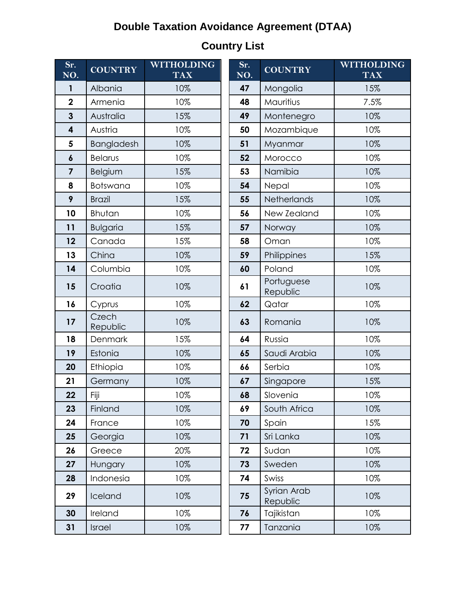## **Double Taxation Avoidance Agreement (DTAA)**

| Sr.<br>NO.              | <b>COUNTRY</b>    | <b>WITHOLDING</b><br><b>TAX</b> | Sr.<br>$\overline{\text{NO}}$ . | <b>COUNTRY</b>          | <b>WITHOLI</b><br><b>TAX</b> |
|-------------------------|-------------------|---------------------------------|---------------------------------|-------------------------|------------------------------|
| $\mathbf{1}$            | Albania           | 10%                             | 47                              | Mongolia                | 15%                          |
| $\overline{\mathbf{2}}$ | Armenia           | 10%                             | 48                              | Mauritius               | 7.5%                         |
| $\overline{\mathbf{3}}$ | Australia         | 15%                             | 49                              | Montenegro              | 10%                          |
| $\overline{\mathbf{4}}$ | Austria           | 10%                             | 50                              | Mozambique              | 10%                          |
| 5                       | Bangladesh        | 10%                             | 51                              | Myanmar                 | 10%                          |
| $\boldsymbol{6}$        | <b>Belarus</b>    | 10%                             | 52                              | Morocco                 | 10%                          |
| $\overline{\mathbf{z}}$ | Belgium           | 15%                             | 53                              | Namibia                 | 10%                          |
| 8                       | Botswana          | 10%                             | 54                              | Nepal                   | 10%                          |
| 9                       | <b>Brazil</b>     | 15%                             | 55                              | Netherlands             | 10%                          |
| 10                      | <b>Bhutan</b>     | 10%                             | 56                              | New Zealand             | 10%                          |
| 11                      | <b>Bulgaria</b>   | 15%                             | 57                              | Norway                  | 10%                          |
| 12                      | Canada            | 15%                             | 58                              | Oman                    | 10%                          |
| 13                      | China             | 10%                             | 59                              | Philippines             | 15%                          |
| 14                      | Columbia          | 10%                             | 60                              | Poland                  | 10%                          |
| 15                      | Croatia           | 10%                             | 61                              | Portuguese<br>Republic  | 10%                          |
| 16                      | Cyprus            | 10%                             | 62                              | Qatar                   | 10%                          |
| 17                      | Czech<br>Republic | 10%                             | 63                              | Romania                 | 10%                          |
| 18                      | Denmark           | 15%                             | 64                              | Russia                  | 10%                          |
| 19                      | Estonia           | 10%                             | 65                              | Saudi Arabia            | 10%                          |
| 20                      | Ethiopia          | 10%                             | 66                              | Serbia                  | 10%                          |
| 21                      | Germany           | 10%                             | 67                              | Singapore               | 15%                          |
| 22                      | Fiji              | 10%                             | 68                              | Slovenia                | 10%                          |
| 23                      | Finland           | 10%                             | 69                              | South Africa            | 10%                          |
| 24                      | France            | 10%                             | 70                              | Spain                   | 15%                          |
| 25                      | Georgia           | 10%                             | 71                              | Sri Lanka               | 10%                          |
| 26                      | Greece            | 20%                             | 72                              | Sudan                   | 10%                          |
| 27                      | Hungary           | 10%                             | 73                              | Sweden                  | 10%                          |
| 28                      | Indonesia         | 10%                             | 74                              | Swiss                   | 10%                          |
| 29                      | Iceland           | 10%                             | 75                              | Syrian Arab<br>Republic | 10%                          |
| 30                      | Ireland           | 10%                             | 76                              | Tajikistan              | 10%                          |
| 31                      | Israel            | 10%                             | 77                              | Tanzania                | 10%                          |

| <b>Country List</b> |  |
|---------------------|--|
|---------------------|--|

| <b>COUNTRY</b>    | <b>WITHOLDING</b><br><b>TAX</b> |  | Sr.<br>NO. | <b>COUNTRY</b>          | <b>WITHOLDING</b><br><b>TAX</b> |  |
|-------------------|---------------------------------|--|------------|-------------------------|---------------------------------|--|
| Albania           | 10%                             |  | 47         | Mongolia                | 15%                             |  |
| Armenia           | 10%                             |  | 48         | Mauritius               | 7.5%                            |  |
| Australia         | 15%                             |  | 49         | Montenegro              | 10%                             |  |
| Austria           | 10%                             |  | 50         | Mozambique              | 10%                             |  |
| <b>Bangladesh</b> | 10%                             |  | 51         | Myanmar                 | 10%                             |  |
| <b>Belarus</b>    | 10%                             |  | 52         | Morocco                 | 10%                             |  |
| <b>Belgium</b>    | 15%                             |  | 53         | Namibia                 | 10%                             |  |
| Botswana          | 10%                             |  | 54         | Nepal                   | 10%                             |  |
| <b>Brazil</b>     | 15%                             |  | 55         | Netherlands             | 10%                             |  |
| Bhutan            | 10%                             |  | 56         | New Zealand             | 10%                             |  |
| <b>Bulgaria</b>   | 15%                             |  | 57         | Norway                  | 10%                             |  |
| Canada            | 15%                             |  | 58         | Oman                    | 10%                             |  |
| China             | 10%                             |  | 59         | Philippines             | 15%                             |  |
| Columbia          | 10%                             |  | 60         | Poland                  | 10%                             |  |
| Croatia           | 10%                             |  | 61         | Portuguese<br>Republic  | 10%                             |  |
| Cyprus            | 10%                             |  | 62         | Qatar                   | 10%                             |  |
| Czech<br>Republic | 10%                             |  | 63         | Romania                 | 10%                             |  |
| Denmark           | 15%                             |  | 64         | Russia                  | 10%                             |  |
| Estonia           | 10%                             |  | 65         | Saudi Arabia            | 10%                             |  |
| Ethiopia          | 10%                             |  | 66         | Serbia                  | 10%                             |  |
| Germany           | 10%                             |  | 67         | Singapore               | 15%                             |  |
| Fiji              | 10%                             |  | 68         | Slovenia                | 10%                             |  |
| <b>Finland</b>    | 10%                             |  | 69         | South Africa            | 10%                             |  |
| France            | 10%                             |  | 70         | Spain                   | 15%                             |  |
| Georgia           | 10%                             |  | 71         | Sri Lanka               | 10%                             |  |
| Greece            | 20%                             |  | 72         | Sudan                   | 10%                             |  |
| Hungary           | 10%                             |  | 73         | Sweden                  | 10%                             |  |
| Indonesia         | 10%                             |  | 74         | Swiss                   | 10%                             |  |
| Iceland           | 10%                             |  | 75         | Syrian Arab<br>Republic | 10%                             |  |
| Ireland           | 10%                             |  | 76         | Tajikistan              | 10%                             |  |
| Israel            | 10%                             |  | 77         | Tanzania                | 10%                             |  |